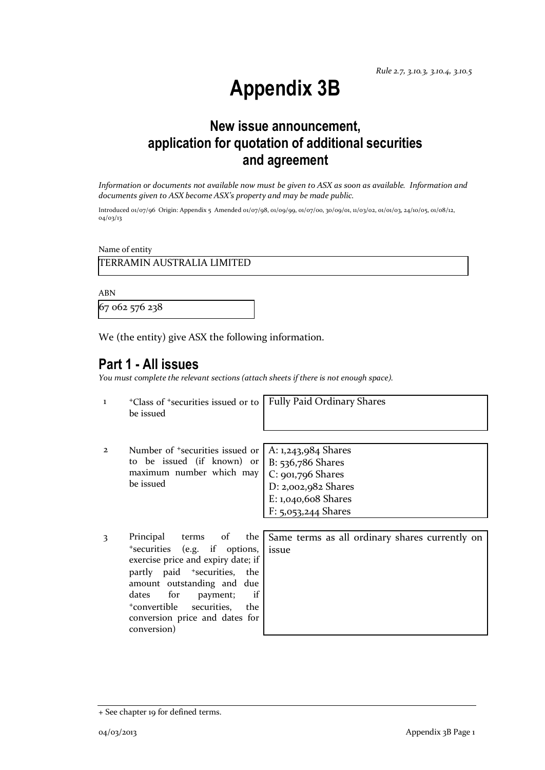# **Appendix 3B**

## **New issue announcement, application for quotation of additional securities and agreement**

*Information or documents not available now must be given to ASX as soon as available. Information and documents given to ASX become ASX's property and may be made public.*

Introduced 01/07/96 Origin: Appendix 5 Amended 01/07/98, 01/09/99, 01/07/00, 30/09/01, 11/03/02, 01/01/03, 24/10/05, 01/08/12, 04/03/13

Name of entity

TERRAMIN AUSTRALIA LIMITED

ABN

67 062 576 238

We (the entity) give ASX the following information.

### **Part 1 - All issues**

*You must complete the relevant sections (attach sheets if there is not enough space).*

| 1              | <sup>+</sup> Class of <sup>+</sup> securities issued or to   Fully Paid Ordinary Shares<br>be issued                                                                              |                       |
|----------------|-----------------------------------------------------------------------------------------------------------------------------------------------------------------------------------|-----------------------|
| $\overline{2}$ | Number of <sup>+</sup> securities issued or   A: 1,243,984 Shares<br>to be issued (if known) or $ B: 536,786$ Shares<br>maximum number which may $C: 901,796$ Shares<br>be issued | D: $2,002,982$ Shares |

E: 1,040,608 Shares F: 5,053,244 Shares

3 Principal terms of the <sup>+</sup>securities (e.g. if options, exercise price and expiry date; i partly paid <sup>+</sup>securities, the amount outstanding and due dates for payment; i <sup>+</sup>convertible securities, the conversion price and dates for conversion)

|                    |       |  |  | e   Same terms as all ordinary shares currently on |  |
|--------------------|-------|--|--|----------------------------------------------------|--|
| ,,<br>$\mathbf{f}$ | issue |  |  |                                                    |  |
| e                  |       |  |  |                                                    |  |
| e                  |       |  |  |                                                    |  |
| f                  |       |  |  |                                                    |  |
| e                  |       |  |  |                                                    |  |

<sup>+</sup> See chapter 19 for defined terms.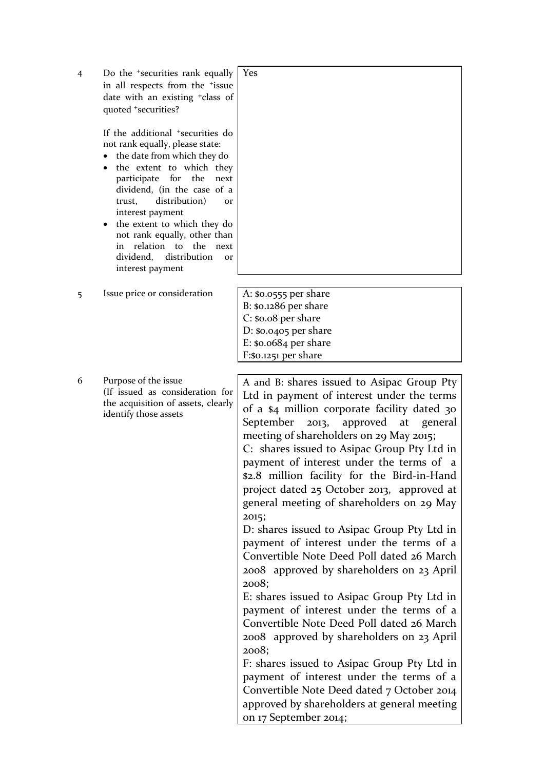| $\overline{4}$ | Do the <sup>+</sup> securities rank equally<br>in all respects from the <sup>+</sup> issue<br>date with an existing <sup>+</sup> class of<br>quoted +securities?<br>If the additional <sup>+</sup> securities do<br>not rank equally, please state:<br>the date from which they do<br>the extent to which they<br>$\bullet$<br>participate for the<br>next<br>dividend, (in the case of a<br>distribution)<br>trust,<br><b>Or</b><br>interest payment<br>the extent to which they do<br>not rank equally, other than<br>in relation to the next<br>dividend, distribution<br><b>Or</b><br>interest payment | Yes                                                                                                                                                                                                                                                                                                                                                                                                                                                                                                                                                                                                                                                                                                                                                                                                                                                                                                                                                                                                                                                                                               |
|----------------|------------------------------------------------------------------------------------------------------------------------------------------------------------------------------------------------------------------------------------------------------------------------------------------------------------------------------------------------------------------------------------------------------------------------------------------------------------------------------------------------------------------------------------------------------------------------------------------------------------|---------------------------------------------------------------------------------------------------------------------------------------------------------------------------------------------------------------------------------------------------------------------------------------------------------------------------------------------------------------------------------------------------------------------------------------------------------------------------------------------------------------------------------------------------------------------------------------------------------------------------------------------------------------------------------------------------------------------------------------------------------------------------------------------------------------------------------------------------------------------------------------------------------------------------------------------------------------------------------------------------------------------------------------------------------------------------------------------------|
| 5              | Issue price or consideration                                                                                                                                                                                                                                                                                                                                                                                                                                                                                                                                                                               | A: \$0.0555 per share<br>$B:$ \$0.1286 per share<br>$C: $0.08$ per share<br>$D: $0.0405$ per share<br>$E:$ \$0.0684 per share<br>F:\$0.1251 per share                                                                                                                                                                                                                                                                                                                                                                                                                                                                                                                                                                                                                                                                                                                                                                                                                                                                                                                                             |
| 6              | Purpose of the issue<br>(If issued as consideration for<br>the acquisition of assets, clearly<br>identify those assets                                                                                                                                                                                                                                                                                                                                                                                                                                                                                     | A and B: shares issued to Asipac Group Pty<br>Ltd in payment of interest under the terms<br>of a \$4 million corporate facility dated 30<br>September<br>approved<br>2013,<br>at<br>general<br>meeting of shareholders on 29 May 2015;<br>C: shares issued to Asipac Group Pty Ltd in<br>payment of interest under the terms of a<br>\$2.8 million facility for the Bird-in-Hand<br>project dated 25 October 2013, approved at<br>general meeting of shareholders on 29 May<br>2015;<br>D: shares issued to Asipac Group Pty Ltd in<br>payment of interest under the terms of a<br>Convertible Note Deed Poll dated 26 March<br>2008 approved by shareholders on 23 April<br>2008;<br>E: shares issued to Asipac Group Pty Ltd in<br>payment of interest under the terms of a<br>Convertible Note Deed Poll dated 26 March<br>2008 approved by shareholders on 23 April<br>2008;<br>F: shares issued to Asipac Group Pty Ltd in<br>payment of interest under the terms of a<br>Convertible Note Deed dated 7 October 2014<br>approved by shareholders at general meeting<br>on 17 September 2014; |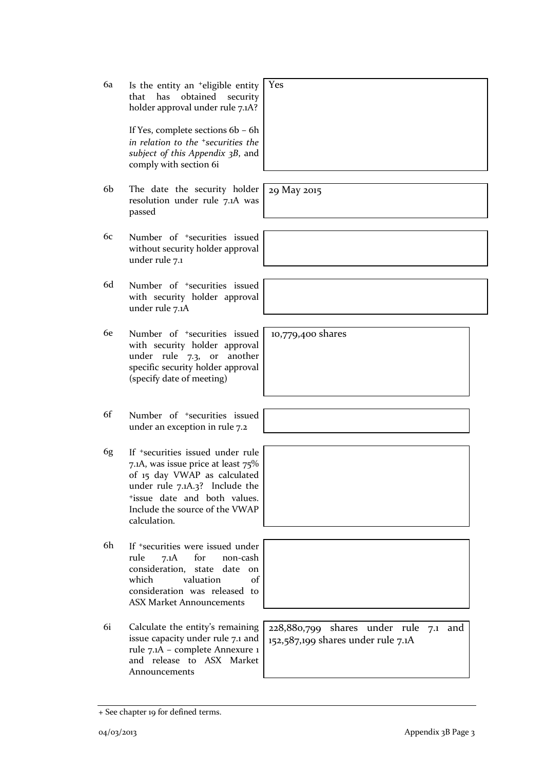6a Is the entity an +eligible entity that has obtained security holder approval under rule 7.1A? Yes

> If Yes, complete sections 6b – 6h *in relation to the +securities the subject of this Appendix 3B*, and comply with section 6i

- 6b The date the security holder resolution under rule 7.1A was passed
- 6c Number of +securities issued without security holder approval under rule 7.1
- 6d Number of +securities issued with security holder approval under rule 7.1A
- 6e Number of +securities issued with security holder approval under rule 7.3, or another specific security holder approval (specify date of meeting)
- 6f Number of +securities issued under an exception in rule 7.2
- 6g If +securities issued under rule 7.1A, was issue price at least 75% of 15 day VWAP as calculated under rule 7.1A.3? Include the <sup>+</sup>issue date and both values. Include the source of the VWAP calculation.
- 6h If +securities were issued under rule 7.1A for non-cash consideration, state date on which valuation of consideration was released to ASX Market Announcements
- 6i Calculate the entity's remaining issue capacity under rule 7.1 and rule 7.1A – complete Annexure 1 and release to ASX Market Announcements

+ See chapter 19 for defined terms.

228,880,799 shares under rule 7.1 and 152,587,199 shares under rule 7.1A

10,779,400 shares

29 May 2015



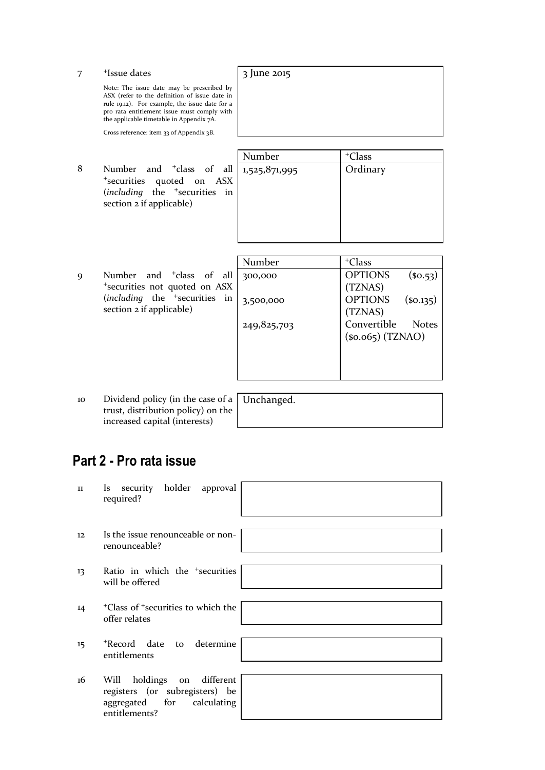Note: The issue date may be prescribed by ASX (refer to the definition of issue date in rule 19.12). For example, the issue date for a pro rata entitlement issue must comply with the applicable timetable in Appendix 7A.

3 June 2015

Cross reference: item 33 of Appendix 3B.

8 Number and <sup>+</sup>class of all <sup>+</sup>securities quoted on ASX (*including* the <sup>+</sup>securities in section 2 if applicable)

|   | Number        | <sup>+</sup> Class |
|---|---------------|--------------------|
| l | 1,525,871,995 | Ordinary           |
| ζ |               |                    |
| ı |               |                    |
|   |               |                    |
|   |               |                    |
|   |               |                    |
|   |               |                    |

|             |                                                      | Number      | <sup>+</sup> Class                |
|-------------|------------------------------------------------------|-------------|-----------------------------------|
| $\mathbf Q$ | Number and <sup>+</sup> class of all                 | 300,000     | <b>OPTIONS</b><br>(so.53)         |
|             | <sup>+</sup> securities not quoted on ASX            |             | (TZNAS)                           |
|             | ( <i>including</i> the <sup>+</sup> securities<br>in | 3,500,000   | <b>OPTIONS</b><br>$($ \$0.135 $)$ |
|             | section 2 if applicable)                             |             | (TZNAS)                           |
|             |                                                      | 249,825,703 | Convertible<br><b>Notes</b>       |
|             |                                                      |             | $(s0.065)$ (TZNAO)                |
|             |                                                      |             |                                   |
|             |                                                      |             |                                   |
|             |                                                      |             |                                   |

10 Dividend policy (in the case of a trust, distribution policy) on the increased capital (interests)

Unchanged.

## **Part 2 - Pro rata issue**

| 11 | Is security holder approval<br>required?                                                                       |
|----|----------------------------------------------------------------------------------------------------------------|
| 12 | Is the issue renounceable or non-<br>renounceable?                                                             |
| 13 | Ratio in which the <sup>+</sup> securities<br>will be offered                                                  |
| 14 | <sup>+</sup> Class of <sup>+</sup> securities to which the<br>offer relates                                    |
| 15 | *Record date to determine<br>entitlements                                                                      |
| 16 | holdings on different<br>Will<br>registers (or subregisters) be<br>aggregated for calculating<br>entitlements? |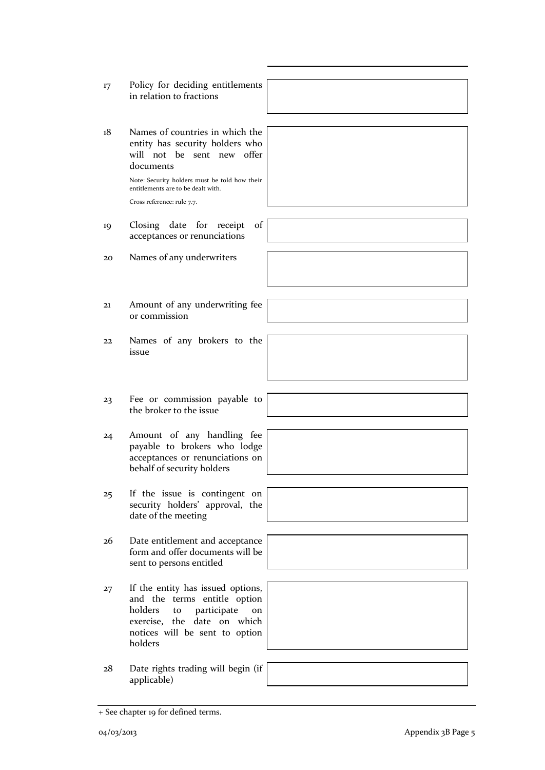- - holders
	- 28 Date rights trading will begin (if applicable)
- 17 Policy for deciding entitlements in relation to fractions
- 18 Names of countries in which the entity has security holders who will not be sent new offer documents

Note: Security holders must be told how their entitlements are to be dealt with. Cross reference: rule 7.7.

- 19 Closing date for receipt of acceptances or renunciations
- 20 Names of any underwriters
- 21 Amount of any underwriting fee or commission
- 22 Names of any brokers to the issue
- 23 Fee or commission payable to the broker to the issue
- 24 Amount of any handling fee payable to brokers who lodge acceptances or renunciations on behalf of security holders
- 25 If the issue is contingent on security holders' approval, the date of the meeting
- 26 Date entitlement and acceptance form and offer documents will be sent to persons entitled
- 27 If the entity has issued options, and the terms entitle option holders to participate on exercise, the date on which notices will be sent to option
-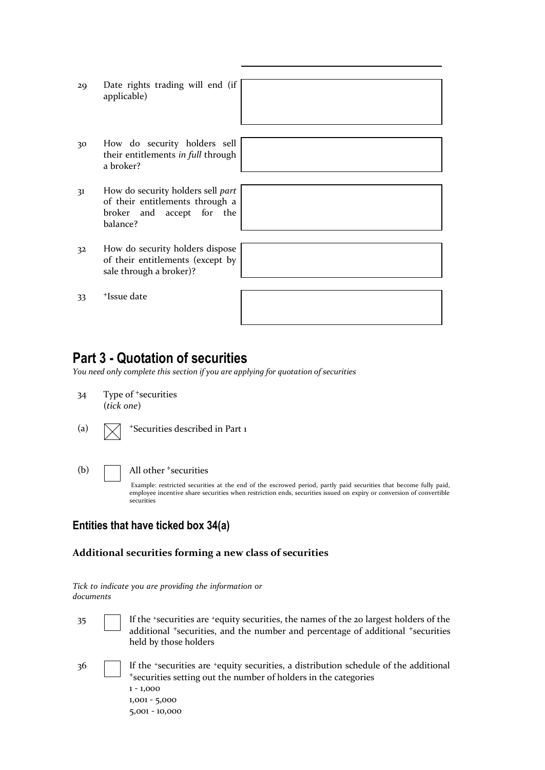- 29 Date rights trading will end (if applicable)
- 30 How do security holders sell their entitlements *in full* through a broker?
- 31 How do security holders sell *part* of their entitlements through a broker and accept for the balance?
- 32 How do security holders dispose of their entitlements (except by sale through a broker)?
- 33 <sup>+</sup>Issue date

### **Part 3 - Quotation of securities**

*You need only complete this section if you are applying for quotation of securities*

- 34 Type of <sup>+</sup>securities (*tick one*)
- (a)  $\sqrt{\phantom{a}}$  +Securities described in Part 1
- (b) All other <sup>+</sup>securities

Example: restricted securities at the end of the escrowed period, partly paid securities that become fully paid, employee incentive share securities when restriction ends, securities issued on expiry or conversion of convertible securities

#### **Entities that have ticked box 34(a)**

#### **Additional securities forming a new class of securities**

|           |  |  | Tick to indicate you are providing the information or |  |  |  |
|-----------|--|--|-------------------------------------------------------|--|--|--|
| documents |  |  |                                                       |  |  |  |

- 35 If the <sup>+</sup> securities are <sup>+</sup>equity securities, the names of the 20 largest holders of the additional <sup>+</sup>securities, and the number and percentage of additional <sup>+</sup>securities held by those holders
- 36 **If the <sup>+</sup>securities are <sup>+</sup>equity securities, a distribution schedule of the additional** <sup>+</sup>securities setting out the number of holders in the categories 1 - 1,000 1,001 - 5,000 5,001 - 10,000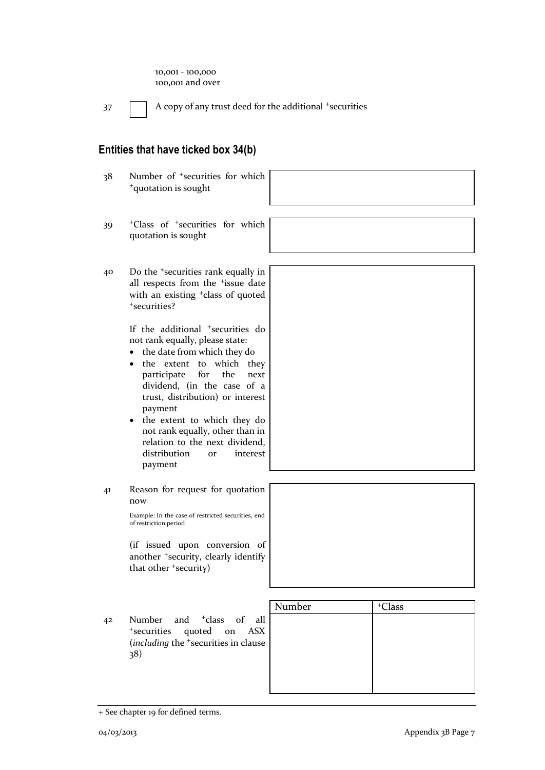| $10,001 - 100,000$ |  |
|--------------------|--|
| 100,001 and over   |  |

 $37$  A copy of any trust deed for the additional +securities

#### **Entities that have ticked box 34(b)**

38 Number of <sup>+</sup>securities for which <sup>+</sup>quotation is sought

- 39 <sup>+</sup>Class of <sup>+</sup>securities for which quotation is sought
- 40 Do the <sup>+</sup>securities rank equally in all respects from the <sup>+</sup>issue date with an existing <sup>+</sup>class of quoted <sup>+</sup>securities?

If the additional <sup>+</sup>securities do not rank equally, please state:

- the date from which they do
- the extent to which they participate for the next dividend, (in the case of a trust, distribution) or interest payment
- the extent to which they do not rank equally, other than in relation to the next dividend, distribution or interest payment
- 41 Reason for request for quotation now

Example: In the case of restricted securities, end of restriction period

(if issued upon conversion of another <sup>+</sup>security, clearly identify that other <sup>+</sup>security)

- Number + Class
- 42 Number and <sup>+</sup>class of all <sup>+</sup>securities quoted on ASX (*including* the <sup>+</sup>securities in clause 38)

| Number | <sup>+</sup> Class |
|--------|--------------------|
|        |                    |
|        |                    |
|        |                    |
|        |                    |
|        |                    |
|        |                    |
|        |                    |

<sup>+</sup> See chapter 19 for defined terms.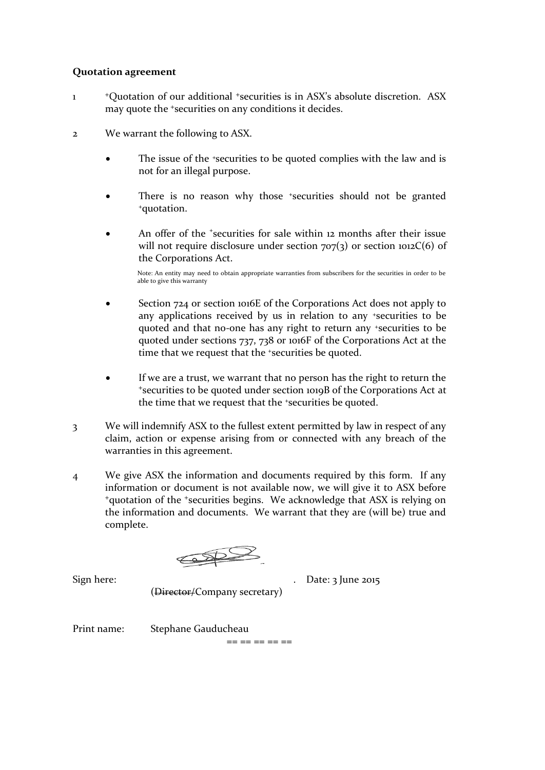#### **Quotation agreement**

- 1 <sup>+</sup>Quotation of our additional <sup>+</sup>securities is in ASX's absolute discretion. ASX may quote the <sup>+</sup>securities on any conditions it decides.
- 2 We warrant the following to ASX.
	- The issue of the *\*securities* to be quoted complies with the law and is not for an illegal purpose.
	- There is no reason why those +securities should not be granted <sup>+</sup>quotation.
	- An offer of the *'securities* for sale within 12 months after their issue will not require disclosure under section  $707(3)$  or section  $1012C(6)$  of the Corporations Act.

Note: An entity may need to obtain appropriate warranties from subscribers for the securities in order to be able to give this warranty

- Section 724 or section 1016E of the Corporations Act does not apply to any applications received by us in relation to any <sup>+</sup>securities to be quoted and that no-one has any right to return any <sup>+</sup>securities to be quoted under sections 737, 738 or 1016F of the Corporations Act at the time that we request that the +securities be quoted.
- If we are a trust, we warrant that no person has the right to return the <sup>+</sup>securities to be quoted under section 1019B of the Corporations Act at the time that we request that the *\*securities* be quoted.
- 3 We will indemnify ASX to the fullest extent permitted by law in respect of any claim, action or expense arising from or connected with any breach of the warranties in this agreement.
- 4 We give ASX the information and documents required by this form. If any information or document is not available now, we will give it to ASX before <sup>+</sup>quotation of the <sup>+</sup>securities begins. We acknowledge that ASX is relying on the information and documents. We warrant that they are (will be) true and complete.

 $\bigoplus$ 

Sign here: . Date: 3 June 2015

(Director/Company secretary)

Print name: Stephane Gauducheau

== == == == ==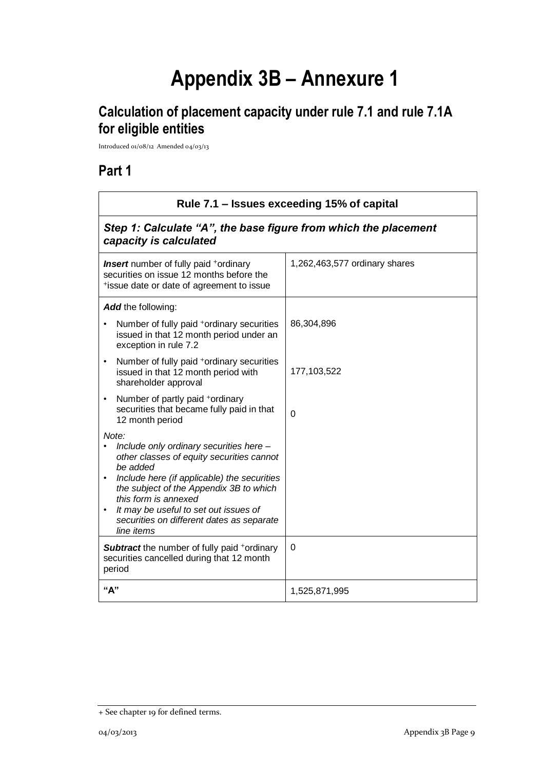# **Appendix 3B – Annexure 1**

## **Calculation of placement capacity under rule 7.1 and rule 7.1A for eligible entities**

Introduced 01/08/12 Amended 04/03/13

## **Part 1**

| Rule 7.1 – Issues exceeding 15% of capital                                                                                                                                                                                                                                                                                                   |                                                                 |  |  |  |
|----------------------------------------------------------------------------------------------------------------------------------------------------------------------------------------------------------------------------------------------------------------------------------------------------------------------------------------------|-----------------------------------------------------------------|--|--|--|
| capacity is calculated                                                                                                                                                                                                                                                                                                                       | Step 1: Calculate "A", the base figure from which the placement |  |  |  |
| <b>Insert</b> number of fully paid <sup>+</sup> ordinary<br>securities on issue 12 months before the<br>*issue date or date of agreement to issue                                                                                                                                                                                            | 1,262,463,577 ordinary shares                                   |  |  |  |
| Add the following:                                                                                                                                                                                                                                                                                                                           |                                                                 |  |  |  |
| Number of fully paid <sup>+</sup> ordinary securities<br>issued in that 12 month period under an<br>exception in rule 7.2                                                                                                                                                                                                                    | 86,304,896                                                      |  |  |  |
| Number of fully paid <sup>+</sup> ordinary securities<br>issued in that 12 month period with<br>shareholder approval                                                                                                                                                                                                                         | 177,103,522                                                     |  |  |  |
| Number of partly paid +ordinary<br>$\bullet$<br>securities that became fully paid in that<br>12 month period                                                                                                                                                                                                                                 | $\Omega$                                                        |  |  |  |
| Note:<br>Include only ordinary securities here -<br>other classes of equity securities cannot<br>be added<br>Include here (if applicable) the securities<br>$\bullet$<br>the subject of the Appendix 3B to which<br>this form is annexed<br>It may be useful to set out issues of<br>securities on different dates as separate<br>line items |                                                                 |  |  |  |
| <b>Subtract</b> the number of fully paid <sup>+</sup> ordinary<br>securities cancelled during that 12 month<br>period                                                                                                                                                                                                                        | 0                                                               |  |  |  |
| "А"                                                                                                                                                                                                                                                                                                                                          | 1,525,871,995                                                   |  |  |  |

<sup>+</sup> See chapter 19 for defined terms.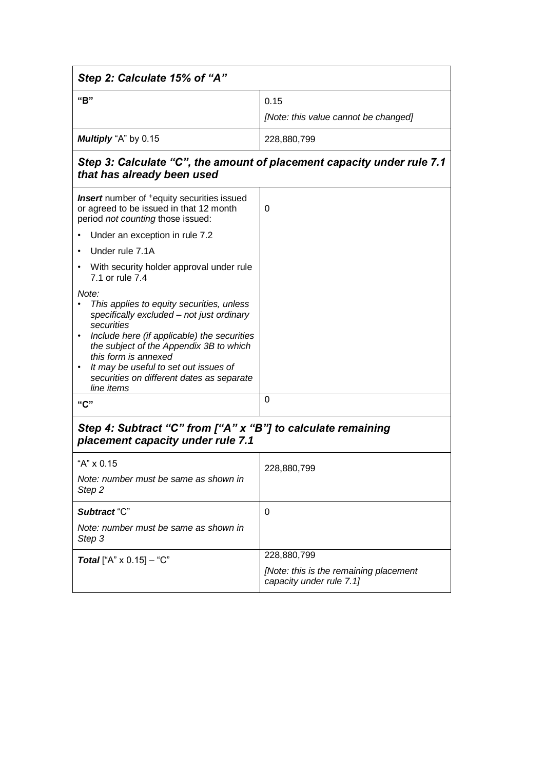| Step 2: Calculate 15% of "A"                                                                                                                                                                                                                                                                                                                                  |                                                                    |  |  |  |
|---------------------------------------------------------------------------------------------------------------------------------------------------------------------------------------------------------------------------------------------------------------------------------------------------------------------------------------------------------------|--------------------------------------------------------------------|--|--|--|
| "B"                                                                                                                                                                                                                                                                                                                                                           | 0.15<br>[Note: this value cannot be changed]                       |  |  |  |
| Multiply "A" by 0.15                                                                                                                                                                                                                                                                                                                                          | 228,880,799                                                        |  |  |  |
| Step 3: Calculate "C", the amount of placement capacity under rule 7.1<br>that has already been used                                                                                                                                                                                                                                                          |                                                                    |  |  |  |
| <b>Insert</b> number of <sup>+</sup> equity securities issued<br>or agreed to be issued in that 12 month<br>period not counting those issued:                                                                                                                                                                                                                 | 0                                                                  |  |  |  |
| Under an exception in rule 7.2                                                                                                                                                                                                                                                                                                                                |                                                                    |  |  |  |
| Under rule 7.1A<br>$\bullet$                                                                                                                                                                                                                                                                                                                                  |                                                                    |  |  |  |
| With security holder approval under rule<br>7.1 or rule 7.4                                                                                                                                                                                                                                                                                                   |                                                                    |  |  |  |
| Note:<br>This applies to equity securities, unless<br>$\bullet$<br>specifically excluded - not just ordinary<br>securities<br>Include here (if applicable) the securities<br>$\bullet$<br>the subject of the Appendix 3B to which<br>this form is annexed<br>It may be useful to set out issues of<br>securities on different dates as separate<br>line items |                                                                    |  |  |  |
| "C"                                                                                                                                                                                                                                                                                                                                                           | 0                                                                  |  |  |  |
| Step 4: Subtract "C" from ["A" x "B"] to calculate remaining<br>placement capacity under rule 7.1                                                                                                                                                                                                                                                             |                                                                    |  |  |  |
| "A" x 0.15                                                                                                                                                                                                                                                                                                                                                    | 228,880,799                                                        |  |  |  |
| Note: number must be same as shown in<br>Step 2                                                                                                                                                                                                                                                                                                               |                                                                    |  |  |  |
| Subtract "C"                                                                                                                                                                                                                                                                                                                                                  | 0                                                                  |  |  |  |
| Note: number must be same as shown in<br>Step 3                                                                                                                                                                                                                                                                                                               |                                                                    |  |  |  |
| <b>Total</b> ["A" $\times$ 0.15] – "C"                                                                                                                                                                                                                                                                                                                        | 228,880,799                                                        |  |  |  |
|                                                                                                                                                                                                                                                                                                                                                               | [Note: this is the remaining placement<br>capacity under rule 7.1] |  |  |  |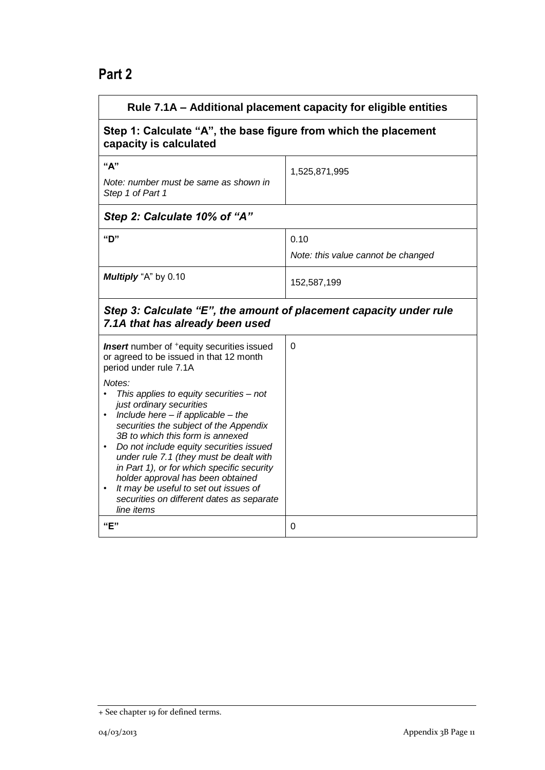## **Part 2**

| Rule 7.1A - Additional placement capacity for eligible entities                                                                                                                                                                                                                                                                                                                                                                                                                                                                                                                                                                                    |                                            |
|----------------------------------------------------------------------------------------------------------------------------------------------------------------------------------------------------------------------------------------------------------------------------------------------------------------------------------------------------------------------------------------------------------------------------------------------------------------------------------------------------------------------------------------------------------------------------------------------------------------------------------------------------|--------------------------------------------|
| Step 1: Calculate "A", the base figure from which the placement<br>capacity is calculated                                                                                                                                                                                                                                                                                                                                                                                                                                                                                                                                                          |                                            |
| "A"<br>Note: number must be same as shown in<br>Step 1 of Part 1                                                                                                                                                                                                                                                                                                                                                                                                                                                                                                                                                                                   | 1,525,871,995                              |
| Step 2: Calculate 10% of "A"                                                                                                                                                                                                                                                                                                                                                                                                                                                                                                                                                                                                                       |                                            |
| "D"                                                                                                                                                                                                                                                                                                                                                                                                                                                                                                                                                                                                                                                | 0.10<br>Note: this value cannot be changed |
| Multiply "A" by 0.10                                                                                                                                                                                                                                                                                                                                                                                                                                                                                                                                                                                                                               | 152,587,199                                |
| Step 3: Calculate "E", the amount of placement capacity under rule<br>7.1A that has already been used                                                                                                                                                                                                                                                                                                                                                                                                                                                                                                                                              |                                            |
| <b>Insert</b> number of <sup>+</sup> equity securities issued<br>or agreed to be issued in that 12 month<br>period under rule 7.1A<br>Notes:<br>This applies to equity securities - not<br>just ordinary securities<br>Include here $-$ if applicable $-$ the<br>$\bullet$<br>securities the subject of the Appendix<br>3B to which this form is annexed<br>Do not include equity securities issued<br>$\bullet$<br>under rule 7.1 (they must be dealt with<br>in Part 1), or for which specific security<br>holder approval has been obtained<br>It may be useful to set out issues of<br>securities on different dates as separate<br>line items | 0                                          |
| "E"                                                                                                                                                                                                                                                                                                                                                                                                                                                                                                                                                                                                                                                | 0                                          |

<sup>+</sup> See chapter 19 for defined terms.